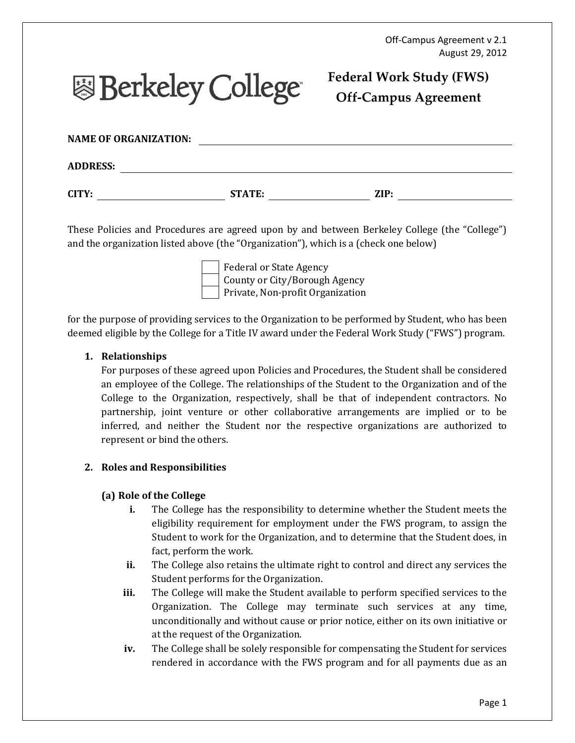# **图 Berkeley College**

# Federal Work Study (FWS) Off-Campus Agreement

| <b>NAME OF ORGANIZATION:</b> |               |      |  |
|------------------------------|---------------|------|--|
| <b>ADDRESS:</b>              |               |      |  |
| CITY:                        | <b>STATE:</b> | ZIP: |  |

These Policies and Procedures are agreed upon by and between Berkeley College (the "College") and the organization listed above (the "Organization"), which is a (check one below)

> Federal or State Agency County or City/Borough Agency Private, Non-profit Organization

for the purpose of providing services to the Organization to be performed by Student, who has been deemed eligible by the College for a Title IV award under the Federal Work Study ("FWS") program.

## 1. Relationships

For purposes of these agreed upon Policies and Procedures, the Student shall be considered an employee of the College. The relationships of the Student to the Organization and of the College to the Organization, respectively, shall be that of independent contractors. No partnership, joint venture or other collaborative arrangements are implied or to be inferred, and neither the Student nor the respective organizations are authorized to represent or bind the others.

# 2. Roles and Responsibilities

### (a) Role of the College

- i. The College has the responsibility to determine whether the Student meets the eligibility requirement for employment under the FWS program, to assign the Student to work for the Organization, and to determine that the Student does, in fact, perform the work.
- ii. The College also retains the ultimate right to control and direct any services the Student performs for the Organization.
- iii. The College will make the Student available to perform specified services to the Organization. The College may terminate such services at any time, unconditionally and without cause or prior notice, either on its own initiative or at the request of the Organization.
- iv. The College shall be solely responsible for compensating the Student for services rendered in accordance with the FWS program and for all payments due as an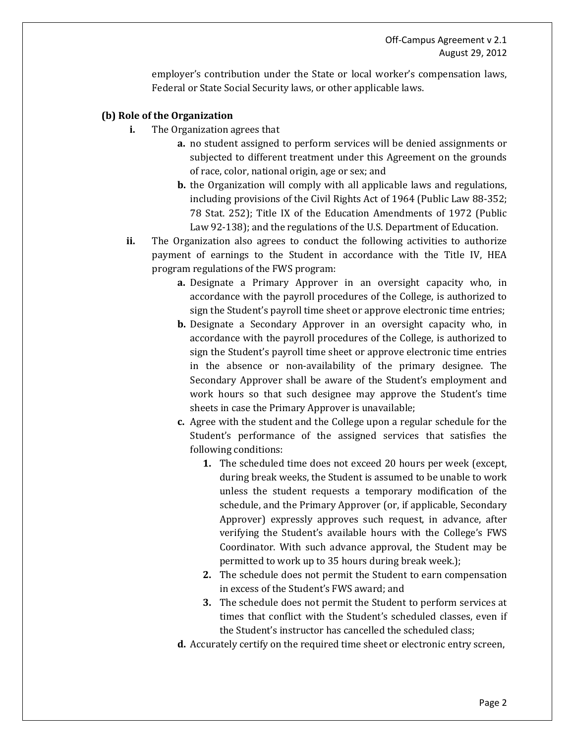employer's contribution under the State or local worker's compensation laws, Federal or State Social Security laws, or other applicable laws.

#### (b) Role of the Organization

- i. The Organization agrees that
	- a. no student assigned to perform services will be denied assignments or subjected to different treatment under this Agreement on the grounds of race, color, national origin, age or sex; and
	- b. the Organization will comply with all applicable laws and regulations, including provisions of the Civil Rights Act of 1964 (Public Law 88-352; 78 Stat. 252); Title IX of the Education Amendments of 1972 (Public Law 92-138); and the regulations of the U.S. Department of Education.
- ii. The Organization also agrees to conduct the following activities to authorize payment of earnings to the Student in accordance with the Title IV, HEA program regulations of the FWS program:
	- a. Designate a Primary Approver in an oversight capacity who, in accordance with the payroll procedures of the College, is authorized to sign the Student's payroll time sheet or approve electronic time entries;
	- b. Designate a Secondary Approver in an oversight capacity who, in accordance with the payroll procedures of the College, is authorized to sign the Student's payroll time sheet or approve electronic time entries in the absence or non-availability of the primary designee. The Secondary Approver shall be aware of the Student's employment and work hours so that such designee may approve the Student's time sheets in case the Primary Approver is unavailable;
	- c. Agree with the student and the College upon a regular schedule for the Student's performance of the assigned services that satisfies the following conditions:
		- 1. The scheduled time does not exceed 20 hours per week (except, during break weeks, the Student is assumed to be unable to work unless the student requests a temporary modification of the schedule, and the Primary Approver (or, if applicable, Secondary Approver) expressly approves such request, in advance, after verifying the Student's available hours with the College's FWS Coordinator. With such advance approval, the Student may be permitted to work up to 35 hours during break week.);
		- 2. The schedule does not permit the Student to earn compensation in excess of the Student's FWS award; and
		- 3. The schedule does not permit the Student to perform services at times that conflict with the Student's scheduled classes, even if the Student's instructor has cancelled the scheduled class;
	- d. Accurately certify on the required time sheet or electronic entry screen,